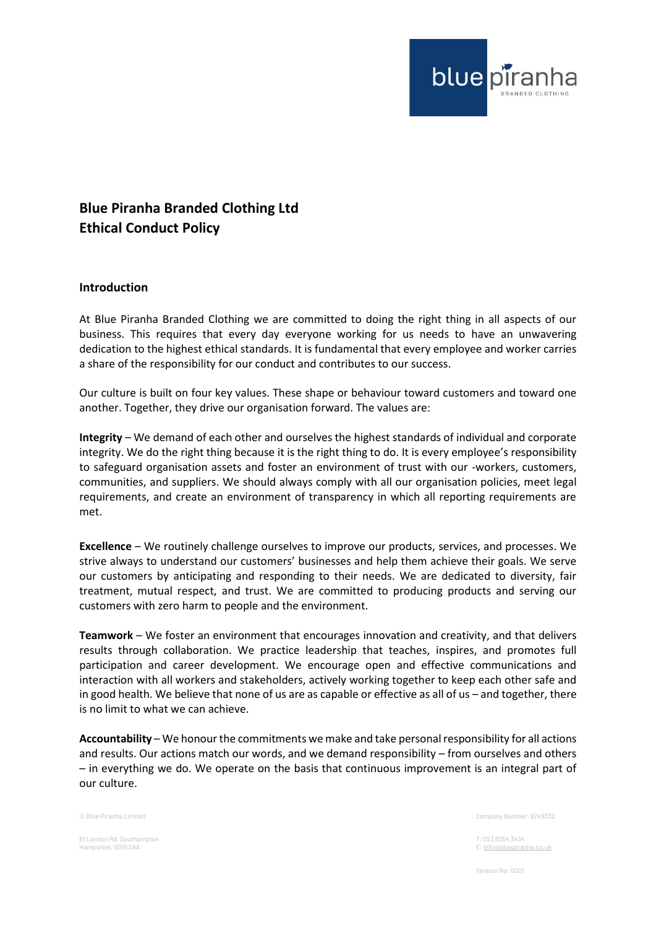

## **Blue Piranha Branded Clothing Ltd Ethical Conduct Policy**

## **Introduction**

At Blue Piranha Branded Clothing we are committed to doing the right thing in all aspects of our business. This requires that every day everyone working for us needs to have an unwavering dedication to the highest ethical standards. It is fundamental that every employee and worker carries a share of the responsibility for our conduct and contributes to our success.

Our culture is built on four key values. These shape or behaviour toward customers and toward one another. Together, they drive our organisation forward. The values are:

**Integrity** – We demand of each other and ourselves the highest standards of individual and corporate integrity. We do the right thing because it is the right thing to do. It is every employee's responsibility to safeguard organisation assets and foster an environment of trust with our -workers, customers, communities, and suppliers. We should always comply with all our organisation policies, meet legal requirements, and create an environment of transparency in which all reporting requirements are met.

**Excellence** – We routinely challenge ourselves to improve our products, services, and processes. We strive always to understand our customers' businesses and help them achieve their goals. We serve our customers by anticipating and responding to their needs. We are dedicated to diversity, fair treatment, mutual respect, and trust. We are committed to producing products and serving our customers with zero harm to people and the environment.

**Teamwork** – We foster an environment that encourages innovation and creativity, and that delivers results through collaboration. We practice leadership that teaches, inspires, and promotes full participation and career development. We encourage open and effective communications and interaction with all workers and stakeholders, actively working together to keep each other safe and in good health. We believe that none of us are as capable or effective as all of us – and together, there is no limit to what we can achieve.

**Accountability** – We honour the commitments we make and take personal responsibility for all actions and results. Our actions match our words, and we demand responsibility – from ourselves and others – in everything we do. We operate on the basis that continuous improvement is an integral part of our culture.

81 London Rd, Southampton T: 023 8254 3434

© Blue Piranha Limited Company Number: 6249332

E[: info@bluepiranha.co.uk](mailto:info@bluepiranha.co.uk)

Version No: 0001